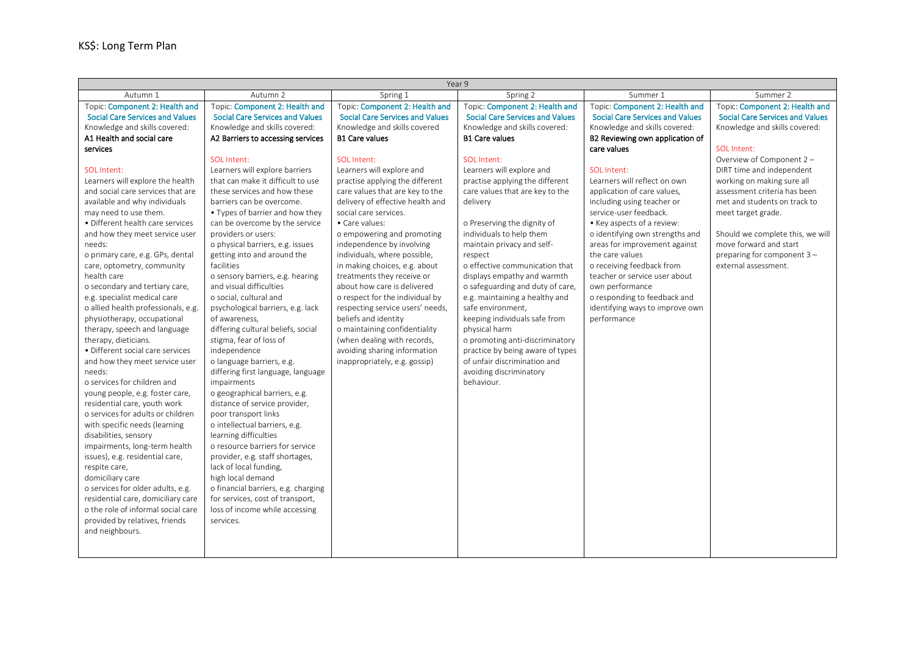| Year 9                                    |                                           |                                                               |                                           |                                              |                                                    |  |
|-------------------------------------------|-------------------------------------------|---------------------------------------------------------------|-------------------------------------------|----------------------------------------------|----------------------------------------------------|--|
| Autumn 1                                  | Autumn <sub>2</sub>                       | Spring 1                                                      | Spring 2                                  | Summer 1                                     | Summer 2                                           |  |
| Topic: Component 2: Health and            | Topic: Component 2: Health and            | Topic: Component 2: Health and                                | Topic: Component 2: Health and            | Topic: Component 2: Health and               | Topic: Component 2: Health and                     |  |
| <b>Social Care Services and Values</b>    | <b>Social Care Services and Values</b>    | <b>Social Care Services and Values</b>                        | <b>Social Care Services and Values</b>    | <b>Social Care Services and Values</b>       | <b>Social Care Services and Values</b>             |  |
| Knowledge and skills covered:             | Knowledge and skills covered:             | Knowledge and skills covered                                  | Knowledge and skills covered:             | Knowledge and skills covered:                | Knowledge and skills covered:                      |  |
| A1 Health and social care                 | A2 Barriers to accessing services         | <b>B1 Care values</b>                                         | <b>B1 Care values</b>                     | B2 Reviewing own application of              |                                                    |  |
| services                                  |                                           |                                                               |                                           | care values                                  | SOL Intent:                                        |  |
|                                           | SOL Intent:                               | SOL Intent:                                                   | SOI Intent:                               |                                              | Overview of Component 2 -                          |  |
| SOI Intent:                               | Learners will explore barriers            | Learners will explore and                                     | Learners will explore and                 | SOI Intent:                                  | DIRT time and independent                          |  |
| Learners will explore the health          | that can make it difficult to use         | practise applying the different                               | practise applying the different           | Learners will reflect on own                 | working on making sure all                         |  |
| and social care services that are         | these services and how these              | care values that are key to the                               | care values that are key to the           | application of care values,                  | assessment criteria has been                       |  |
| available and why individuals             | barriers can be overcome.                 | delivery of effective health and                              | delivery                                  | including using teacher or                   | met and students on track to                       |  |
| may need to use them.                     | • Types of barrier and how they           | social care services.                                         |                                           | service-user feedback.                       | meet target grade.                                 |  |
| · Different health care services          | can be overcome by the service            | • Care values:                                                | o Preserving the dignity of               | • Key aspects of a review:                   |                                                    |  |
| and how they meet service user            | providers or users:                       | o empowering and promoting                                    | individuals to help them                  | o identifying own strengths and              | Should we complete this, we will                   |  |
| needs:                                    | o physical barriers, e.g. issues          | independence by involving                                     | maintain privacy and self-                | areas for improvement against                | move forward and start                             |  |
| o primary care, e.g. GPs, dental          | getting into and around the<br>facilities | individuals, where possible,<br>in making choices, e.g. about | respect<br>o effective communication that | the care values<br>o receiving feedback from | preparing for component 3-<br>external assessment. |  |
| care, optometry, community<br>health care | o sensory barriers, e.g. hearing          | treatments they receive or                                    | displays empathy and warmth               | teacher or service user about                |                                                    |  |
| o secondary and tertiary care,            | and visual difficulties                   | about how care is delivered                                   | o safeguarding and duty of care,          | own performance                              |                                                    |  |
| e.g. specialist medical care              | o social, cultural and                    | o respect for the individual by                               | e.g. maintaining a healthy and            | o responding to feedback and                 |                                                    |  |
| o allied health professionals, e.g.       | psychological barriers, e.g. lack         | respecting service users' needs,                              | safe environment.                         | identifying ways to improve own              |                                                    |  |
| physiotherapy, occupational               | of awareness,                             | beliefs and identity                                          | keeping individuals safe from             | performance                                  |                                                    |  |
| therapy, speech and language              | differing cultural beliefs, social        | o maintaining confidentiality                                 | physical harm                             |                                              |                                                    |  |
| therapy, dieticians.                      | stigma, fear of loss of                   | (when dealing with records,                                   | o promoting anti-discriminatory           |                                              |                                                    |  |
| · Different social care services          | independence                              | avoiding sharing information                                  | practice by being aware of types          |                                              |                                                    |  |
| and how they meet service user            | o language barriers, e.g.                 | inappropriately, e.g. gossip)                                 | of unfair discrimination and              |                                              |                                                    |  |
| needs:                                    | differing first language, language        |                                                               | avoiding discriminatory                   |                                              |                                                    |  |
| o services for children and               | impairments                               |                                                               | behaviour.                                |                                              |                                                    |  |
| young people, e.g. foster care,           | o geographical barriers, e.g.             |                                                               |                                           |                                              |                                                    |  |
| residential care, youth work              | distance of service provider,             |                                                               |                                           |                                              |                                                    |  |
| o services for adults or children         | poor transport links                      |                                                               |                                           |                                              |                                                    |  |
| with specific needs (learning             | o intellectual barriers, e.g.             |                                                               |                                           |                                              |                                                    |  |
| disabilities, sensory                     | learning difficulties                     |                                                               |                                           |                                              |                                                    |  |
| impairments, long-term health             | o resource barriers for service           |                                                               |                                           |                                              |                                                    |  |
| issues), e.g. residential care,           | provider, e.g. staff shortages,           |                                                               |                                           |                                              |                                                    |  |
| respite care,                             | lack of local funding,                    |                                                               |                                           |                                              |                                                    |  |
| domiciliary care                          | high local demand                         |                                                               |                                           |                                              |                                                    |  |
| o services for older adults, e.g.         | o financial barriers, e.g. charging       |                                                               |                                           |                                              |                                                    |  |
| residential care, domiciliary care        | for services, cost of transport,          |                                                               |                                           |                                              |                                                    |  |
| o the role of informal social care        | loss of income while accessing            |                                                               |                                           |                                              |                                                    |  |
| provided by relatives, friends            | services.                                 |                                                               |                                           |                                              |                                                    |  |
| and neighbours.                           |                                           |                                                               |                                           |                                              |                                                    |  |
|                                           |                                           |                                                               |                                           |                                              |                                                    |  |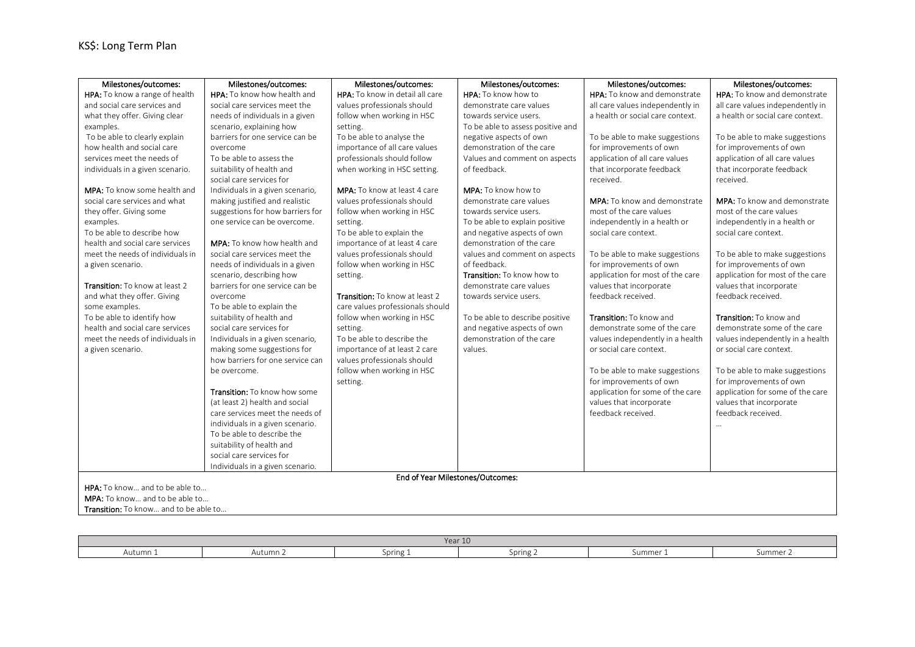| Milestones/outcomes:                  | Milestones/outcomes:               | Milestones/outcomes:                  | Milestones/outcomes:              | Milestones/outcomes:                | Milestones/outcomes:                |  |  |
|---------------------------------------|------------------------------------|---------------------------------------|-----------------------------------|-------------------------------------|-------------------------------------|--|--|
| HPA: To know a range of health        | HPA: To know how health and        | HPA: To know in detail all care       | HPA: To know how to               | HPA: To know and demonstrate        | HPA: To know and demonstrate        |  |  |
| and social care services and          | social care services meet the      | values professionals should           | demonstrate care values           | all care values independently in    | all care values independently in    |  |  |
| what they offer. Giving clear         | needs of individuals in a given    | follow when working in HSC            | towards service users.            | a health or social care context.    | a health or social care context.    |  |  |
| examples.                             | scenario, explaining how           | setting.                              | To be able to assess positive and |                                     |                                     |  |  |
| To be able to clearly explain         | barriers for one service can be    | To be able to analyse the             | negative aspects of own           | To be able to make suggestions      | To be able to make suggestions      |  |  |
| how health and social care            | overcome                           | importance of all care values         | demonstration of the care         | for improvements of own             | for improvements of own             |  |  |
| services meet the needs of            | To be able to assess the           | professionals should follow           | Values and comment on aspects     | application of all care values      | application of all care values      |  |  |
| individuals in a given scenario.      | suitability of health and          | when working in HSC setting.          | of feedback.                      | that incorporate feedback           | that incorporate feedback           |  |  |
|                                       | social care services for           |                                       |                                   | received.                           | received.                           |  |  |
| <b>MPA:</b> To know some health and   | Individuals in a given scenario,   | MPA: To know at least 4 care          | <b>MPA:</b> To know how to        |                                     |                                     |  |  |
| social care services and what         | making justified and realistic     | values professionals should           | demonstrate care values           | <b>MPA:</b> To know and demonstrate | <b>MPA:</b> To know and demonstrate |  |  |
| they offer. Giving some               | suggestions for how barriers for   | follow when working in HSC            | towards service users.            | most of the care values             | most of the care values             |  |  |
| examples.                             | one service can be overcome.       | setting.                              | To be able to explain positive    | independently in a health or        | independently in a health or        |  |  |
| To be able to describe how            |                                    | To be able to explain the             | and negative aspects of own       | social care context.                | social care context.                |  |  |
| health and social care services       | <b>MPA:</b> To know how health and | importance of at least 4 care         | demonstration of the care         |                                     |                                     |  |  |
| meet the needs of individuals in      | social care services meet the      | values professionals should           | values and comment on aspects     | To be able to make suggestions      | To be able to make suggestions      |  |  |
| a given scenario.                     | needs of individuals in a given    | follow when working in HSC            | of feedback.                      | for improvements of own             | for improvements of own             |  |  |
|                                       | scenario, describing how           | setting.                              | Transition: To know how to        | application for most of the care    | application for most of the care    |  |  |
| <b>Transition:</b> To know at least 2 | barriers for one service can be    |                                       | demonstrate care values           | values that incorporate             | values that incorporate             |  |  |
| and what they offer. Giving           | overcome                           | <b>Transition:</b> To know at least 2 | towards service users.            | feedback received.                  | feedback received.                  |  |  |
| some examples.                        | To be able to explain the          | care values professionals should      |                                   |                                     |                                     |  |  |
| To be able to identify how            | suitability of health and          | follow when working in HSC            | To be able to describe positive   | Transition: To know and             | Transition: To know and             |  |  |
| health and social care services       | social care services for           | setting.                              | and negative aspects of own       | demonstrate some of the care        | demonstrate some of the care        |  |  |
| meet the needs of individuals in      | Individuals in a given scenario,   | To be able to describe the            | demonstration of the care         | values independently in a health    | values independently in a health    |  |  |
| a given scenario.                     | making some suggestions for        | importance of at least 2 care         | values.                           | or social care context.             | or social care context.             |  |  |
|                                       | how barriers for one service can   | values professionals should           |                                   |                                     |                                     |  |  |
|                                       | be overcome.                       | follow when working in HSC            |                                   | To be able to make suggestions      | To be able to make suggestions      |  |  |
|                                       |                                    | setting.                              |                                   | for improvements of own             | for improvements of own             |  |  |
|                                       | Transition: To know how some       |                                       |                                   | application for some of the care    | application for some of the care    |  |  |
|                                       | (at least 2) health and social     |                                       |                                   | values that incorporate             | values that incorporate             |  |  |
|                                       | care services meet the needs of    |                                       |                                   | feedback received.                  | feedback received.                  |  |  |
|                                       | individuals in a given scenario.   |                                       |                                   |                                     | $\ddotsc$                           |  |  |
|                                       | To be able to describe the         |                                       |                                   |                                     |                                     |  |  |
|                                       | suitability of health and          |                                       |                                   |                                     |                                     |  |  |
|                                       | social care services for           |                                       |                                   |                                     |                                     |  |  |
|                                       | Individuals in a given scenario.   |                                       |                                   |                                     |                                     |  |  |
| End of Year Milestones/Outcomes:      |                                    |                                       |                                   |                                     |                                     |  |  |
| HPA: To know and to be able to        |                                    |                                       |                                   |                                     |                                     |  |  |
| MPA: To know and to be able to        |                                    |                                       |                                   |                                     |                                     |  |  |
| Transition: To know and to be able to |                                    |                                       |                                   |                                     |                                     |  |  |

| Year 10                                              |  |  |  |  |        |  |
|------------------------------------------------------|--|--|--|--|--------|--|
| Autumn 1<br>Summer<br>Spring 2<br>Autumn<br>Spring 1 |  |  |  |  | Summer |  |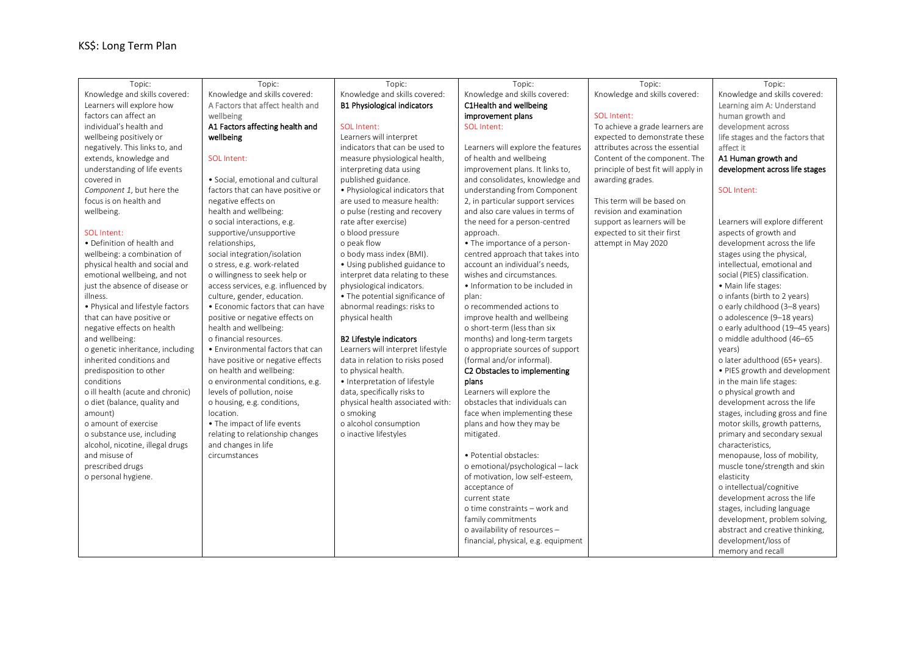| Topic:                           | Topic:                              | Topic:                             | Topic:                              | Topic:                              | Topic:                           |
|----------------------------------|-------------------------------------|------------------------------------|-------------------------------------|-------------------------------------|----------------------------------|
| Knowledge and skills covered:    | Knowledge and skills covered:       | Knowledge and skills covered:      | Knowledge and skills covered:       | Knowledge and skills covered:       | Knowledge and skills covered:    |
| Learners will explore how        | A Factors that affect health and    | <b>B1 Physiological indicators</b> | C1Health and wellbeing              |                                     | Learning aim A: Understand       |
| factors can affect an            | wellbeing                           |                                    | improvement plans                   | SOL Intent:                         | human growth and                 |
| individual's health and          | A1 Factors affecting health and     | SOL Intent:                        | SOI Intent:                         | To achieve a grade learners are     | development across               |
| wellbeing positively or          | wellbeing                           | Learners will interpret            |                                     | expected to demonstrate these       | life stages and the factors that |
| negatively. This links to, and   |                                     | indicators that can be used to     | Learners will explore the features  | attributes across the essential     | affect it                        |
| extends, knowledge and           | SOI Intent:                         | measure physiological health,      | of health and wellbeing             | Content of the component. The       | A1 Human growth and              |
| understanding of life events     |                                     | interpreting data using            | improvement plans. It links to,     | principle of best fit will apply in | development across life stages   |
| covered in                       | • Social, emotional and cultural    | published guidance.                | and consolidates, knowledge and     | awarding grades.                    |                                  |
| Component 1, but here the        | factors that can have positive or   | • Physiological indicators that    | understanding from Component        |                                     | SOL Intent:                      |
| focus is on health and           | negative effects on                 | are used to measure health:        | 2, in particular support services   | This term will be based on          |                                  |
| wellbeing.                       | health and wellbeing:               | o pulse (resting and recovery      | and also care values in terms of    | revision and examination            |                                  |
|                                  | o social interactions, e.g.         | rate after exercise)               | the need for a person-centred       | support as learners will be         | Learners will explore different  |
| SOL Intent:                      | supportive/unsupportive             | o blood pressure                   | approach.                           | expected to sit their first         | aspects of growth and            |
| • Definition of health and       | relationships,                      | o peak flow                        | • The importance of a person-       | attempt in May 2020                 | development across the life      |
| wellbeing: a combination of      | social integration/isolation        | o body mass index (BMI).           | centred approach that takes into    |                                     | stages using the physical,       |
| physical health and social and   | o stress, e.g. work-related         | • Using published guidance to      | account an individual's needs,      |                                     | intellectual, emotional and      |
| emotional wellbeing, and not     | o willingness to seek help or       | interpret data relating to these   | wishes and circumstances.           |                                     | social (PIES) classification.    |
| just the absence of disease or   | access services, e.g. influenced by | physiological indicators.          | . Information to be included in     |                                     | · Main life stages:              |
| illness.                         | culture, gender, education.         | • The potential significance of    | plan:                               |                                     | o infants (birth to 2 years)     |
| . Physical and lifestyle factors | • Economic factors that can have    | abnormal readings: risks to        | o recommended actions to            |                                     | o early childhood (3-8 years)    |
| that can have positive or        | positive or negative effects on     | physical health                    | improve health and wellbeing        |                                     | o adolescence (9-18 years)       |
| negative effects on health       | health and wellbeing:               |                                    | o short-term (less than six         |                                     | o early adulthood (19-45 years)  |
| and wellbeing:                   | o financial resources.              | <b>B2 Lifestyle indicators</b>     | months) and long-term targets       |                                     | o middle adulthood (46-65        |
| o genetic inheritance, including | • Environmental factors that can    | Learners will interpret lifestyle  | o appropriate sources of support    |                                     | years)                           |
| inherited conditions and         | have positive or negative effects   | data in relation to risks posed    | (formal and/or informal).           |                                     | o later adulthood (65+ years).   |
| predisposition to other          | on health and wellbeing:            | to physical health.                | C2 Obstacles to implementing        |                                     | . PIES growth and development    |
| conditions                       | o environmental conditions, e.g.    | · Interpretation of lifestyle      | plans                               |                                     | in the main life stages:         |
| o ill health (acute and chronic) | levels of pollution, noise          | data, specifically risks to        | Learners will explore the           |                                     | o physical growth and            |
| o diet (balance, quality and     | o housing, e.g. conditions,         | physical health associated with:   | obstacles that individuals can      |                                     | development across the life      |
| amount)                          | location.                           | o smoking                          | face when implementing these        |                                     | stages, including gross and fine |
| o amount of exercise             | • The impact of life events         | o alcohol consumption              | plans and how they may be           |                                     | motor skills, growth patterns,   |
| o substance use, including       | relating to relationship changes    | o inactive lifestyles              | mitigated.                          |                                     | primary and secondary sexual     |
| alcohol, nicotine, illegal drugs | and changes in life                 |                                    |                                     |                                     | characteristics,                 |
| and misuse of                    | circumstances                       |                                    | · Potential obstacles:              |                                     | menopause, loss of mobility,     |
| prescribed drugs                 |                                     |                                    | o emotional/psychological - lack    |                                     | muscle tone/strength and skin    |
| o personal hygiene.              |                                     |                                    | of motivation, low self-esteem,     |                                     | elasticity                       |
|                                  |                                     |                                    | acceptance of                       |                                     | o intellectual/cognitive         |
|                                  |                                     |                                    | current state                       |                                     | development across the life      |
|                                  |                                     |                                    | o time constraints - work and       |                                     | stages, including language       |
|                                  |                                     |                                    | family commitments                  |                                     | development, problem solving,    |
|                                  |                                     |                                    | o availability of resources -       |                                     | abstract and creative thinking,  |
|                                  |                                     |                                    | financial, physical, e.g. equipment |                                     | development/loss of              |
|                                  |                                     |                                    |                                     |                                     | memory and recall                |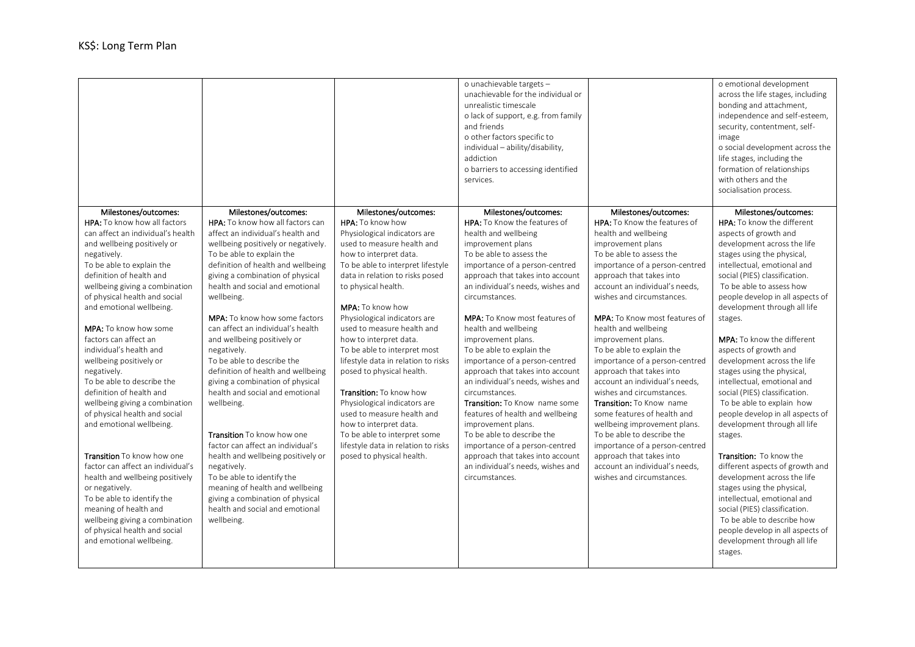|                                                                                                                                                                                                                                                                                                                                                                                                                                                                                                                                                                                                                                                                                                                                                                                                                                                                                    |                                                                                                                                                                                                                                                                                                                                                                                                                                                                                                                                                                                                                                                                                                                                                                                                                                                                       |                                                                                                                                                                                                                                                                                                                                                                                                                                                                                                                                                                                                                                                                                      | o unachievable targets -<br>unachievable for the individual or<br>unrealistic timescale<br>o lack of support, e.g. from family<br>and friends<br>o other factors specific to<br>individual - ability/disability,<br>addiction<br>o barriers to accessing identified<br>services.                                                                                                                                                                                                                                                                                                                                                                                                                                                                                        |                                                                                                                                                                                                                                                                                                                                                                                                                                                                                                                                                                                                                                                                                                                                                                         | o emotional development<br>across the life stages, including<br>bonding and attachment,<br>independence and self-esteem,<br>security, contentment, self-<br>image<br>o social development across the<br>life stages, including the<br>formation of relationships<br>with others and the<br>socialisation process.                                                                                                                                                                                                                                                                                                                                                                                                                                                                                                                                                                                                                         |
|------------------------------------------------------------------------------------------------------------------------------------------------------------------------------------------------------------------------------------------------------------------------------------------------------------------------------------------------------------------------------------------------------------------------------------------------------------------------------------------------------------------------------------------------------------------------------------------------------------------------------------------------------------------------------------------------------------------------------------------------------------------------------------------------------------------------------------------------------------------------------------|-----------------------------------------------------------------------------------------------------------------------------------------------------------------------------------------------------------------------------------------------------------------------------------------------------------------------------------------------------------------------------------------------------------------------------------------------------------------------------------------------------------------------------------------------------------------------------------------------------------------------------------------------------------------------------------------------------------------------------------------------------------------------------------------------------------------------------------------------------------------------|--------------------------------------------------------------------------------------------------------------------------------------------------------------------------------------------------------------------------------------------------------------------------------------------------------------------------------------------------------------------------------------------------------------------------------------------------------------------------------------------------------------------------------------------------------------------------------------------------------------------------------------------------------------------------------------|-------------------------------------------------------------------------------------------------------------------------------------------------------------------------------------------------------------------------------------------------------------------------------------------------------------------------------------------------------------------------------------------------------------------------------------------------------------------------------------------------------------------------------------------------------------------------------------------------------------------------------------------------------------------------------------------------------------------------------------------------------------------------|-------------------------------------------------------------------------------------------------------------------------------------------------------------------------------------------------------------------------------------------------------------------------------------------------------------------------------------------------------------------------------------------------------------------------------------------------------------------------------------------------------------------------------------------------------------------------------------------------------------------------------------------------------------------------------------------------------------------------------------------------------------------------|-------------------------------------------------------------------------------------------------------------------------------------------------------------------------------------------------------------------------------------------------------------------------------------------------------------------------------------------------------------------------------------------------------------------------------------------------------------------------------------------------------------------------------------------------------------------------------------------------------------------------------------------------------------------------------------------------------------------------------------------------------------------------------------------------------------------------------------------------------------------------------------------------------------------------------------------|
| Milestones/outcomes:<br><b>HPA:</b> To know how all factors<br>can affect an individual's health<br>and wellbeing positively or<br>negatively.<br>To be able to explain the<br>definition of health and<br>wellbeing giving a combination<br>of physical health and social<br>and emotional wellbeing.<br><b>MPA:</b> To know how some<br>factors can affect an<br>individual's health and<br>wellbeing positively or<br>negatively.<br>To be able to describe the<br>definition of health and<br>wellbeing giving a combination<br>of physical health and social<br>and emotional wellbeing.<br><b>Transition</b> To know how one<br>factor can affect an individual's<br>health and wellbeing positively<br>or negatively.<br>To be able to identify the<br>meaning of health and<br>wellbeing giving a combination<br>of physical health and social<br>and emotional wellbeing. | Milestones/outcomes:<br><b>HPA:</b> To know how all factors can<br>affect an individual's health and<br>wellbeing positively or negatively.<br>To be able to explain the<br>definition of health and wellbeing<br>giving a combination of physical<br>health and social and emotional<br>wellbeing.<br><b>MPA:</b> To know how some factors<br>can affect an individual's health<br>and wellbeing positively or<br>negatively.<br>To be able to describe the<br>definition of health and wellbeing<br>giving a combination of physical<br>health and social and emotional<br>wellbeing.<br>Transition To know how one<br>factor can affect an individual's<br>health and wellbeing positively or<br>negatively.<br>To be able to identify the<br>meaning of health and wellbeing<br>giving a combination of physical<br>health and social and emotional<br>wellbeing. | Milestones/outcomes:<br>HPA: To know how<br>Physiological indicators are<br>used to measure health and<br>how to interpret data.<br>To be able to interpret lifestyle<br>data in relation to risks posed<br>to physical health.<br><b>MPA:</b> To know how<br>Physiological indicators are<br>used to measure health and<br>how to interpret data.<br>To be able to interpret most<br>lifestyle data in relation to risks<br>posed to physical health.<br><b>Transition:</b> To know how<br>Physiological indicators are<br>used to measure health and<br>how to interpret data.<br>To be able to interpret some<br>lifestyle data in relation to risks<br>posed to physical health. | Milestones/outcomes:<br><b>HPA:</b> To Know the features of<br>health and wellbeing<br>improvement plans<br>To be able to assess the<br>importance of a person-centred<br>approach that takes into account<br>an individual's needs, wishes and<br>circumstances.<br><b>MPA:</b> To Know most features of<br>health and wellbeing<br>improvement plans.<br>To be able to explain the<br>importance of a person-centred<br>approach that takes into account<br>an individual's needs, wishes and<br>circumstances.<br>Transition: To Know name some<br>features of health and wellbeing<br>improvement plans.<br>To be able to describe the<br>importance of a person-centred<br>approach that takes into account<br>an individual's needs, wishes and<br>circumstances. | Milestones/outcomes:<br><b>HPA:</b> To Know the features of<br>health and wellbeing<br>improvement plans<br>To be able to assess the<br>importance of a person-centred<br>approach that takes into<br>account an individual's needs,<br>wishes and circumstances.<br><b>MPA:</b> To Know most features of<br>health and wellbeing<br>improvement plans.<br>To be able to explain the<br>importance of a person-centred<br>approach that takes into<br>account an individual's needs,<br>wishes and circumstances.<br>Transition: To Know name<br>some features of health and<br>wellbeing improvement plans.<br>To be able to describe the<br>importance of a person-centred<br>approach that takes into<br>account an individual's needs,<br>wishes and circumstances. | Milestones/outcomes:<br><b>HPA:</b> To know the different<br>aspects of growth and<br>development across the life<br>stages using the physical,<br>intellectual, emotional and<br>social (PIES) classification.<br>To be able to assess how<br>people develop in all aspects of<br>development through all life<br>stages.<br><b>MPA:</b> To know the different<br>aspects of growth and<br>development across the life<br>stages using the physical,<br>intellectual, emotional and<br>social (PIES) classification.<br>To be able to explain how<br>people develop in all aspects of<br>development through all life<br>stages.<br>Transition: To know the<br>different aspects of growth and<br>development across the life<br>stages using the physical,<br>intellectual, emotional and<br>social (PIES) classification.<br>To be able to describe how<br>people develop in all aspects of<br>development through all life<br>stages. |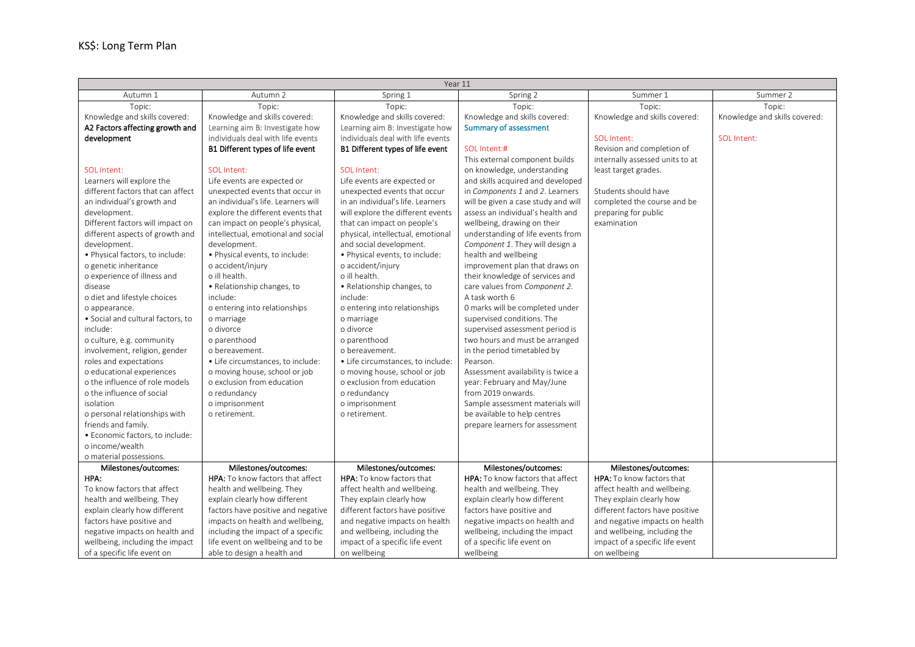| Year 11                           |                                     |                                   |                                     |                                 |                               |  |
|-----------------------------------|-------------------------------------|-----------------------------------|-------------------------------------|---------------------------------|-------------------------------|--|
| Autumn 1                          | Autumn 2                            | Spring 1                          | Spring 2                            | Summer 1                        | Summer 2                      |  |
| Topic:                            | Topic:                              | Topic:                            | Topic:                              | Topic:                          | Topic:                        |  |
| Knowledge and skills covered:     | Knowledge and skills covered:       | Knowledge and skills covered:     | Knowledge and skills covered:       | Knowledge and skills covered:   | Knowledge and skills covered: |  |
| A2 Factors affecting growth and   | Learning aim B: Investigate how     | Learning aim B: Investigate how   | <b>Summary of assessment</b>        |                                 |                               |  |
| development                       | individuals deal with life events   | individuals deal with life events |                                     | SOL Intent:                     | SOL Intent:                   |  |
|                                   | B1 Different types of life event    | B1 Different types of life event  | SOL Intent:#                        | Revision and completion of      |                               |  |
|                                   |                                     |                                   | This external component builds      | internally assessed units to at |                               |  |
| SOL Intent:                       | SOL Intent:                         | SOL Intent:                       | on knowledge, understanding         | least target grades.            |                               |  |
| Learners will explore the         | Life events are expected or         | Life events are expected or       | and skills acquired and developed   |                                 |                               |  |
| different factors that can affect | unexpected events that occur in     | unexpected events that occur      | in Components 1 and 2. Learners     | Students should have            |                               |  |
| an individual's growth and        | an individual's life. Learners will | in an individual's life. Learners | will be given a case study and will | completed the course and be     |                               |  |
| development.                      | explore the different events that   | will explore the different events | assess an individual's health and   | preparing for public            |                               |  |
| Different factors will impact on  | can impact on people's physical,    | that can impact on people's       | wellbeing, drawing on their         | examination                     |                               |  |
| different aspects of growth and   | intellectual, emotional and social  | physical, intellectual, emotional | understanding of life events from   |                                 |                               |  |
| development.                      | development.                        | and social development.           | Component 1. They will design a     |                                 |                               |  |
| · Physical factors, to include:   | • Physical events, to include:      | · Physical events, to include:    | health and wellbeing                |                                 |                               |  |
| o genetic inheritance             | o accident/injury                   | o accident/injury                 | improvement plan that draws on      |                                 |                               |  |
| o experience of illness and       | o ill health.                       | o ill health.                     | their knowledge of services and     |                                 |                               |  |
| disease                           | • Relationship changes, to          | • Relationship changes, to        | care values from Component 2.       |                                 |                               |  |
| o diet and lifestyle choices      | include:                            | include:                          | A task worth 6                      |                                 |                               |  |
| o appearance.                     | o entering into relationships       | o entering into relationships     | 0 marks will be completed under     |                                 |                               |  |
| • Social and cultural factors, to | o marriage                          | o marriage                        | supervised conditions. The          |                                 |                               |  |
| include:                          | o divorce                           | o divorce                         | supervised assessment period is     |                                 |                               |  |
| o culture, e.g. community         | o parenthood                        | o parenthood                      | two hours and must be arranged      |                                 |                               |  |
| involvement, religion, gender     | o bereavement.                      | o bereavement.                    | in the period timetabled by         |                                 |                               |  |
| roles and expectations            | • Life circumstances, to include:   | · Life circumstances, to include: | Pearson.                            |                                 |                               |  |
| o educational experiences         | o moving house, school or job       | o moving house, school or job     | Assessment availability is twice a  |                                 |                               |  |
| o the influence of role models    | o exclusion from education          | o exclusion from education        | year: February and May/June         |                                 |                               |  |
| o the influence of social         | o redundancy                        | o redundancy                      | from 2019 onwards.                  |                                 |                               |  |
| isolation                         | o imprisonment                      | o imprisonment                    | Sample assessment materials will    |                                 |                               |  |
| o personal relationships with     | o retirement.                       | o retirement.                     | be available to help centres        |                                 |                               |  |
| friends and family.               |                                     |                                   | prepare learners for assessment     |                                 |                               |  |
| • Economic factors, to include:   |                                     |                                   |                                     |                                 |                               |  |
| o income/wealth                   |                                     |                                   |                                     |                                 |                               |  |
| o material possessions.           |                                     |                                   |                                     |                                 |                               |  |
| Milestones/outcomes:              | Milestones/outcomes:                | Milestones/outcomes:              | Milestones/outcomes:                | Milestones/outcomes:            |                               |  |
| HPA:                              | HPA: To know factors that affect    | HPA: To know factors that         | HPA: To know factors that affect    | HPA: To know factors that       |                               |  |
| To know factors that affect       | health and wellbeing. They          | affect health and wellbeing.      | health and wellbeing. They          | affect health and wellbeing.    |                               |  |
| health and wellbeing. They        | explain clearly how different       | They explain clearly how          | explain clearly how different       | They explain clearly how        |                               |  |
| explain clearly how different     | factors have positive and negative  | different factors have positive   | factors have positive and           | different factors have positive |                               |  |
| factors have positive and         | impacts on health and wellbeing,    | and negative impacts on health    | negative impacts on health and      | and negative impacts on health  |                               |  |
| negative impacts on health and    | including the impact of a specific  | and wellbeing, including the      | wellbeing, including the impact     | and wellbeing, including the    |                               |  |
| wellbeing, including the impact   | life event on wellbeing and to be   | impact of a specific life event   | of a specific life event on         | impact of a specific life event |                               |  |
| of a specific life event on       | able to design a health and         | on wellbeing                      | wellbeing                           | on wellbeing                    |                               |  |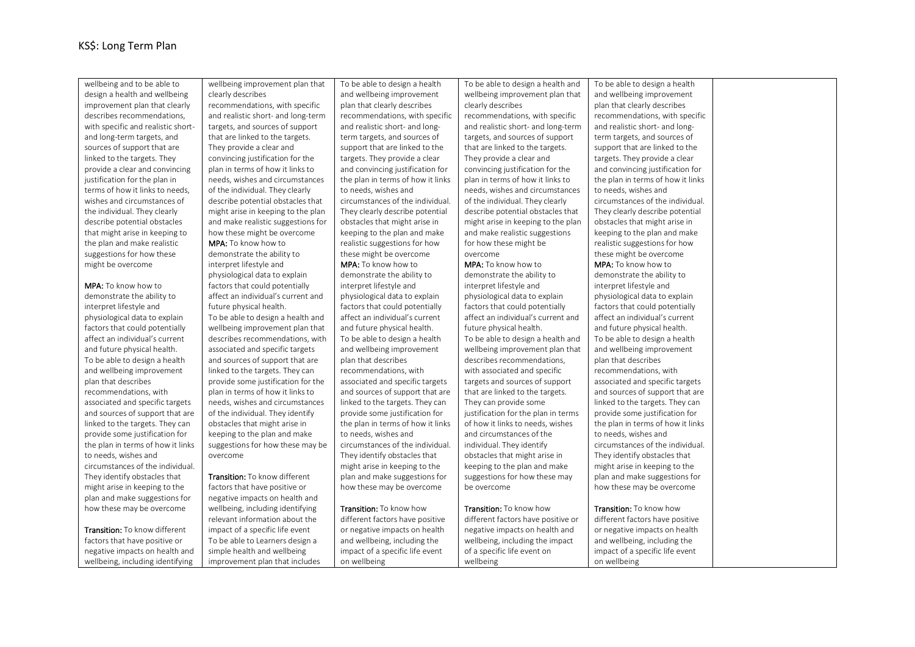wellbeing and to be able to design a health and wellbeing improvement plan that clearly describes recommendations, with specific and realistic shortand long-term targets, and sources of support that are linked to the targets. They provide a clear and convincing justification for the plan in terms of how it links to needs, wishes and circumstances of the individual. They clearly describe potential obstacles that might arise in keeping to the plan and make realistic suggestions for how these might be overcome MPA: To know how to demonstrate the ability to interpret lifestyle and physiological data to explain factors that could potentially affect an individual's current and future physical health. To be able to design a health and wellbeing improvement plan that describes recommendations, with associated and specific targets and sources of support that are linked to the targets. They can provide some justification for the plan in terms of how it links to needs, wishes and circumstances of the individual. They identify obstacles that might arise in keeping to the plan and make suggestions for how these may be overcome Transition: To know different factors that have positive or negative impacts on health and wellbeing, including identifying wellbeing improvement plan that clearly describes recommendations, with specific and realistic short- and long-term targets, and sources of support that are linked to the targets. They provide a clear and convincing justification for the plan in terms of how it links to needs, wishes and circumstances of the individual. They clearly describe potential obstacles that might arise in keeping to the plan and make realistic suggestions for how these might be overcome MPA: To know how to demonstrate the ability to interpret lifestyle and physiological data to explain factors that could potentially affect an individual's current and future physical health. To be able to design a health and wellbeing improvement plan that describes recommendations, with associated and specific targets and sources of support that are linked to the targets. They can provide some justification for the plan in terms of how it links to needs, wishes and circumstances of the individual. They identify obstacles that might arise in keeping to the plan and make suggestions for how these may be overcome Transition: To know different factors that have positive or negative impacts on health and wellbeing, including identifying relevant information about the impact of a specific life event To be able to Learners design a simple health and wellbeing improvement plan that includes To be able to design a health and wellbeing improvement plan that clearly describes recommendations, with specific and realistic short- and longterm targets, and sources of support that are linked to the targets. They provide a clear and convincing justification for the plan in terms of how it links to needs, wishes and circumstances of the individual. They clearly describe potential obstacles that might arise in keeping to the plan and make realistic suggestions for how these might be overcome MPA: To know how to demonstrate the ability to interpret lifestyle and physiological data to explain factors that could potentially affect an individual's current and future physical health. To be able to design a health and wellbeing improvement plan that describes recommendations, with associated and specific targets and sources of support that are linked to the targets. They can provide some justification for the plan in terms of how it links to needs, wishes and circumstances of the individual. They identify obstacles that might arise in keeping to the plan and make suggestions for how these may be overcome Transition: To know how different factors have positive or negative impacts on health and wellbeing, including the impact of a specific life event on wellbeing To be able to design a health and wellbeing improvement plan that clearly describes recommendations, with specific and realistic short- and long-term targets, and sources of support that are linked to the targets. They provide a clear and convincing justification for the plan in terms of how it links to needs, wishes and circumstances of the individual. They clearly describe potential obstacles that might arise in keeping to the plan and make realistic suggestions for how these might be overcome MPA: To know how to demonstrate the ability to interpret lifestyle and physiological data to explain factors that could potentially affect an individual's current and future physical health. To be able to design a health and wellbeing improvement plan that describes recommendations, with associated and specific targets and sources of support that are linked to the targets. They can provide some justification for the plan in terms of how it links to needs, wishes and circumstances of the individual. They identify obstacles that might arise in keeping to the plan and make suggestions for how these may be overcome Transition: To know how different factors have positive or negative impacts on health and wellbeing, including the impact of a specific life event on wellbeing

To be able to design a health and wellbeing improvement plan that clearly describes recommendations, with specific and realistic short- and longterm targets, and sources of support that are linked to the targets. They provide a clear and convincing justification for the plan in terms of how it links to needs, wishes and circumstances of the individual. They clearly describe potential obstacles that might arise in keeping to the plan and make realistic suggestions for how these might be overcome MPA: To know how to demonstrate the ability to interpret lifestyle and physiological data to explain factors that could potentially affect an individual's current and future physical health. To be able to design a health and wellbeing improvement plan that describes recommendations, with associated and specific targets and sources of support that are linked to the targets. They can provide some justification for the plan in terms of how it links to needs, wishes and circumstances of the individual. They identify obstacles that might arise in keeping to the plan and make suggestions for how these may be overcome

Transition: To know how different factors have positive or negative impacts on health and wellbeing, including the impact of a specific life event on wellbeing